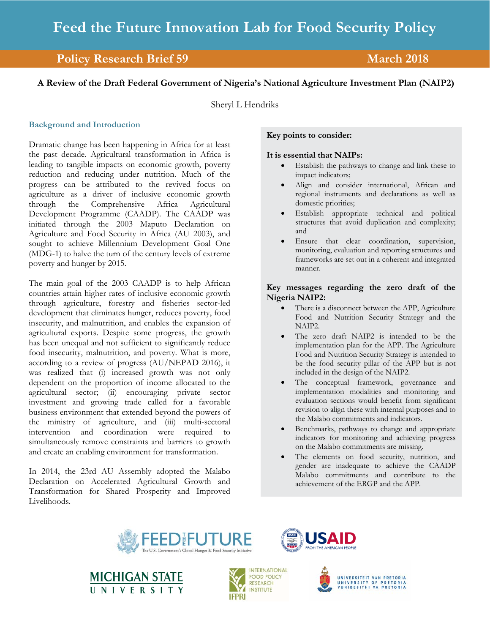# **Policy Research Brief 59 March 2018**

## **A Review of the Draft Federal Government of Nigeria's National Agriculture Investment Plan (NAIP2)**

Sheryl L Hendriks

## **Background and Introduction**

Dramatic change has been happening in Africa for at least the past decade. Agricultural transformation in Africa is leading to tangible impacts on economic growth, poverty reduction and reducing under nutrition. Much of the progress can be attributed to the revived focus on agriculture as a driver of inclusive economic growth through the Comprehensive Africa Agricultural Development Programme (CAADP). The CAADP was initiated through the 2003 Maputo Declaration on Agriculture and Food Security in Africa (AU 2003), and sought to achieve Millennium Development Goal One (MDG-1) to halve the turn of the century levels of extreme poverty and hunger by 2015.

The main goal of the 2003 CAADP is to help African countries attain higher rates of inclusive economic growth through agriculture, forestry and fisheries sector-led development that eliminates hunger, reduces poverty, food insecurity, and malnutrition, and enables the expansion of agricultural exports. Despite some progress, the growth has been unequal and not sufficient to significantly reduce food insecurity, malnutrition, and poverty. What is more, according to a review of progress (AU/NEPAD 2016), it was realized that (i) increased growth was not only dependent on the proportion of income allocated to the agricultural sector; (ii) encouraging private sector investment and growing trade called for a favorable business environment that extended beyond the powers of the ministry of agriculture, and (iii) multi-sectoral intervention and coordination were required to simultaneously remove constraints and barriers to growth and create an enabling environment for transformation.

In 2014, the 23rd AU Assembly adopted the Malabo Declaration on Accelerated Agricultural Growth and Transformation for Shared Prosperity and Improved Livelihoods.

### **Key points to consider:**

#### **It is essential that NAIPs:**

- Establish the pathways to change and link these to impact indicators;
- Align and consider international, African and regional instruments and declarations as well as domestic priorities;
- Establish appropriate technical and political structures that avoid duplication and complexity; and
- Ensure that clear coordination, supervision, monitoring, evaluation and reporting structures and frameworks are set out in a coherent and integrated manner.

## **Key messages regarding the zero draft of the Nigeria NAIP2:**

- There is a disconnect between the APP, Agriculture Food and Nutrition Security Strategy and the NAIP2.
- The zero draft NAIP2 is intended to be the implementation plan for the APP. The Agriculture Food and Nutrition Security Strategy is intended to be the food security pillar of the APP but is not included in the design of the NAIP2.
- The conceptual framework, governance and implementation modalities and monitoring and evaluation sections would benefit from significant revision to align these with internal purposes and to the Malabo commitments and indicators.
- Benchmarks, pathways to change and appropriate indicators for monitoring and achieving progress on the Malabo commitments are missing.
- The elements on food security, nutrition, and gender are inadequate to achieve the CAADP Malabo commitments and contribute to the achievement of the ERGP and the APP.









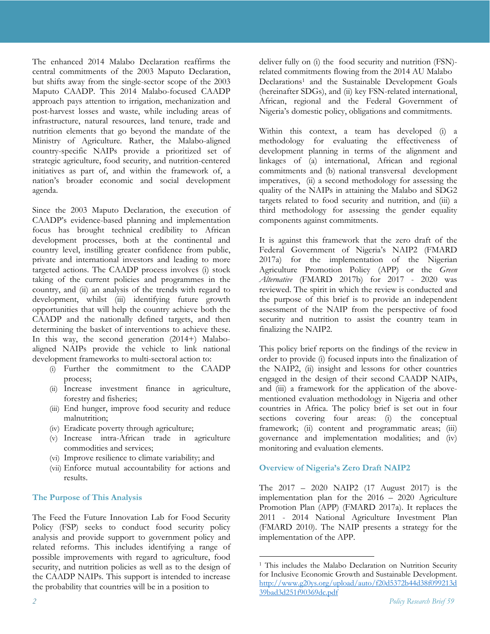The enhanced 2014 Malabo Declaration reaffirms the central commitments of the 2003 Maputo Declaration, but shifts away from the single-sector scope of the 2003 Maputo CAADP. This 2014 Malabo-focused CAADP approach pays attention to irrigation, mechanization and post-harvest losses and waste, while including areas of infrastructure, natural resources, land tenure, trade and nutrition elements that go beyond the mandate of the Ministry of Agriculture. Rather, the Malabo-aligned country-specific NAIPs provide a prioritized set of strategic agriculture, food security, and nutrition-centered initiatives as part of, and within the framework of, a nation's broader economic and social development agenda.

Since the 2003 Maputo Declaration, the execution of CAADP's evidence-based planning and implementation focus has brought technical credibility to African development processes, both at the continental and country level, instilling greater confidence from public, private and international investors and leading to more targeted actions. The CAADP process involves (i) stock taking of the current policies and programmes in the country, and (ii) an analysis of the trends with regard to development, whilst (iii) identifying future growth opportunities that will help the country achieve both the CAADP and the nationally defined targets, and then determining the basket of interventions to achieve these. In this way, the second generation (2014+) Malaboaligned NAIPs provide the vehicle to link national development frameworks to multi-sectoral action to:

- (i) Further the commitment to the CAADP process;
- (ii) Increase investment finance in agriculture, forestry and fisheries;
- (iii) End hunger, improve food security and reduce malnutrition;
- (iv) Eradicate poverty through agriculture;
- (v) Increase intra-African trade in agriculture commodities and services;
- (vi) Improve resilience to climate variability; and
- (vii) Enforce mutual accountability for actions and results.

## **The Purpose of This Analysis**

The Feed the Future Innovation Lab for Food Security Policy (FSP) seeks to conduct food security policy analysis and provide support to government policy and related reforms. This includes identifying a range of possible improvements with regard to agriculture, food security, and nutrition policies as well as to the design of the CAADP NAIPs. This support is intended to increase the probability that countries will be in a position to

deliver fully on (i) the food security and nutrition (FSN) related commitments flowing from the 2014 AU Malabo Declarations1 and the Sustainable Development Goals (hereinafter SDGs), and (ii) key FSN-related international, African, regional and the Federal Government of Nigeria's domestic policy, obligations and commitments.

Within this context, a team has developed (i) a methodology for evaluating the effectiveness of development planning in terms of the alignment and linkages of (a) international, African and regional commitments and (b) national transversal development imperatives, (ii) a second methodology for assessing the quality of the NAIPs in attaining the Malabo and SDG2 targets related to food security and nutrition, and (iii) a third methodology for assessing the gender equality components against commitments.

It is against this framework that the zero draft of the Federal Government of Nigeria's NAIP2 (FMARD 2017a) for the implementation of the Nigerian Agriculture Promotion Policy (APP) or the *Green Alternative* (FMARD 2017b) for 2017 - 2020 was reviewed. The spirit in which the review is conducted and the purpose of this brief is to provide an independent assessment of the NAIP from the perspective of food security and nutrition to assist the country team in finalizing the NAIP2.

This policy brief reports on the findings of the review in order to provide (i) focused inputs into the finalization of the NAIP2, (ii) insight and lessons for other countries engaged in the design of their second CAADP NAIPs, and (iii) a framework for the application of the abovementioned evaluation methodology in Nigeria and other countries in Africa. The policy brief is set out in four sections covering four areas: (i) the conceptual framework; (ii) content and programmatic areas; (iii) governance and implementation modalities; and (iv) monitoring and evaluation elements.

## **Overview of Nigeria's Zero Draft NAIP2**

 $\overline{a}$ 

The 2017 – 2020 NAIP2 (17 August 2017) is the implementation plan for the 2016 – 2020 Agriculture Promotion Plan (APP) (FMARD 2017a). It replaces the 2011 - 2014 National Agriculture Investment Plan (FMARD 2010). The NAIP presents a strategy for the implementation of the APP.

<sup>&</sup>lt;sup>1</sup> This includes the Malabo Declaration on Nutrition Security for Inclusive Economic Growth and Sustainable Development. http://www.g20ys.org/upload/auto/f20d5372b44d38f099213d 39bad3d251f90369dc.pdf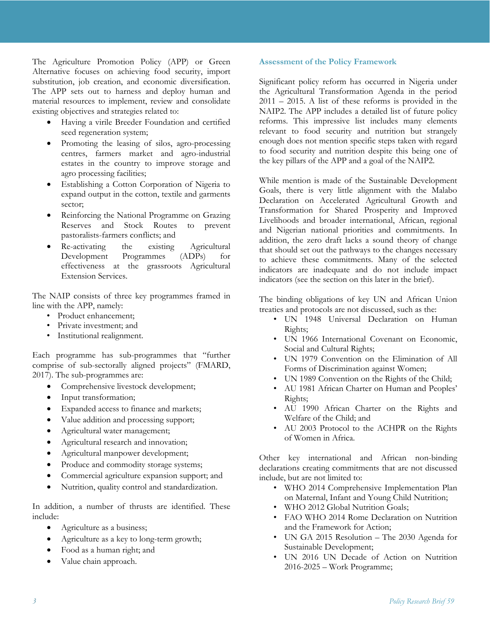The Agriculture Promotion Policy (APP) or Green Alternative focuses on achieving food security, import substitution, job creation, and economic diversification. The APP sets out to harness and deploy human and material resources to implement, review and consolidate existing objectives and strategies related to:

- Having a virile Breeder Foundation and certified seed regeneration system;
- Promoting the leasing of silos, agro-processing centres, farmers market and agro-industrial estates in the country to improve storage and agro processing facilities;
- Establishing a Cotton Corporation of Nigeria to expand output in the cotton, textile and garments sector;
- Reinforcing the National Programme on Grazing Reserves and Stock Routes to prevent pastoralists-farmers conflicts; and
- Re-activating the existing Agricultural Development Programmes (ADPs) for effectiveness at the grassroots Agricultural Extension Services.

The NAIP consists of three key programmes framed in line with the APP, namely:

- Product enhancement;
- Private investment; and
- Institutional realignment.

Each programme has sub-programmes that "further comprise of sub-sectorally aligned projects" (FMARD, 2017). The sub-programmes are:

- Comprehensive livestock development;
- Input transformation;
- Expanded access to finance and markets;
- Value addition and processing support;
- Agricultural water management;
- Agricultural research and innovation;
- Agricultural manpower development;
- Produce and commodity storage systems;
- Commercial agriculture expansion support; and
- Nutrition, quality control and standardization.

In addition, a number of thrusts are identified. These include:

- Agriculture as a business;
- Agriculture as a key to long-term growth;
- Food as a human right; and
- Value chain approach.

## **Assessment of the Policy Framework**

Significant policy reform has occurred in Nigeria under the Agricultural Transformation Agenda in the period 2011 – 2015. A list of these reforms is provided in the NAIP2. The APP includes a detailed list of future policy reforms. This impressive list includes many elements relevant to food security and nutrition but strangely enough does not mention specific steps taken with regard to food security and nutrition despite this being one of the key pillars of the APP and a goal of the NAIP2.

While mention is made of the Sustainable Development Goals, there is very little alignment with the Malabo Declaration on Accelerated Agricultural Growth and Transformation for Shared Prosperity and Improved Livelihoods and broader international, African, regional and Nigerian national priorities and commitments. In addition, the zero draft lacks a sound theory of change that should set out the pathways to the changes necessary to achieve these commitments. Many of the selected indicators are inadequate and do not include impact indicators (see the section on this later in the brief).

The binding obligations of key UN and African Union treaties and protocols are not discussed, such as the:

- UN 1948 Universal Declaration on Human Rights;
- UN 1966 International Covenant on Economic, Social and Cultural Rights;
- UN 1979 Convention on the Elimination of All Forms of Discrimination against Women;
- UN 1989 Convention on the Rights of the Child;
- AU 1981 African Charter on Human and Peoples' Rights;
- AU 1990 African Charter on the Rights and Welfare of the Child; and
- AU 2003 Protocol to the ACHPR on the Rights of Women in Africa.

Other key international and African non-binding declarations creating commitments that are not discussed include, but are not limited to:

- WHO 2014 Comprehensive Implementation Plan on Maternal, Infant and Young Child Nutrition;
- WHO 2012 Global Nutrition Goals;
- FAO WHO 2014 Rome Declaration on Nutrition and the Framework for Action;
- UN GA 2015 Resolution The 2030 Agenda for Sustainable Development;
- UN 2016 UN Decade of Action on Nutrition 2016-2025 – Work Programme;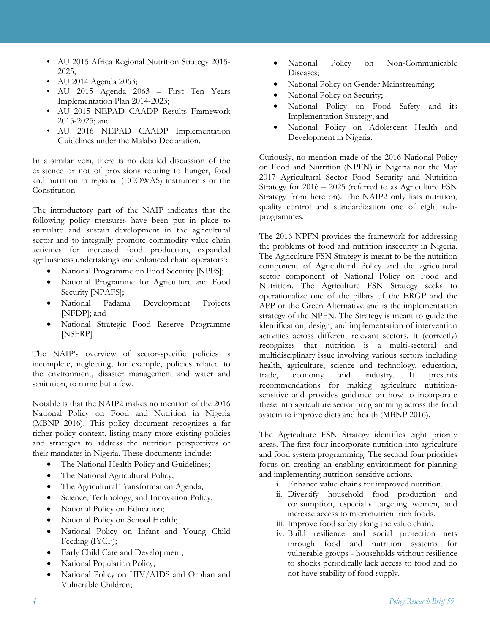- AU 2015 Africa Regional Nutrition Strategy 2015- 2025;
- AU 2014 Agenda 2063;
- AU 2015 Agenda 2063 First Ten Years Implementation Plan 2014-2023;
- AU 2015 NEPAD CAADP Results Framework 2015-2025; and
- AU 2016 NEPAD CAADP Implementation Guidelines under the Malabo Declaration.

In a similar vein, there is no detailed discussion of the existence or not of provisions relating to hunger, food and nutrition in regional (ECOWAS) instruments or the Constitution.

The introductory part of the NAIP indicates that the following policy measures have been put in place to stimulate and sustain development in the agricultural sector and to integrally promote commodity value chain activities for increased food production, expanded agribusiness undertakings and enhanced chain operators':

- National Programme on Food Security [NPFS];
- National Programme for Agriculture and Food Security [NPAFS];
- National Fadama Development Projects [NFDP]; and
- National Strategic Food Reserve Programme [NSFRP].

The NAIP's overview of sector-specific policies is incomplete, neglecting, for example, policies related to the environment, disaster management and water and sanitation, to name but a few.

Notable is that the NAIP2 makes no mention of the 2016 National Policy on Food and Nutrition in Nigeria (MBNP 2016). This policy document recognizes a far richer policy context, listing many more existing policies and strategies to address the nutrition perspectives of their mandates in Nigeria. These documents include:

- The National Health Policy and Guidelines;
- The National Agricultural Policy;
- The Agricultural Transformation Agenda;
- Science, Technology, and Innovation Policy;
- National Policy on Education;
- National Policy on School Health;
- National Policy on Infant and Young Child Feeding (IYCF);
- Early Child Care and Development;
- National Population Policy;
- National Policy on HIV/AIDS and Orphan and Vulnerable Children;
- National Policy on Non-Communicable Diseases;
- National Policy on Gender Mainstreaming;
- National Policy on Security;
- National Policy on Food Safety and its Implementation Strategy; and
- National Policy on Adolescent Health and Development in Nigeria.

Curiously, no mention made of the 2016 National Policy on Food and Nutrition (NPFN) in Nigeria nor the May 2017 Agricultural Sector Food Security and Nutrition Strategy for 2016 – 2025 (referred to as Agriculture FSN Strategy from here on). The NAIP2 only lists nutrition, quality control and standardization one of eight subprogrammes.

The 2016 NPFN provides the framework for addressing the problems of food and nutrition insecurity in Nigeria. The Agriculture FSN Strategy is meant to be the nutrition component of Agricultural Policy and the agricultural sector component of National Policy on Food and Nutrition. The Agriculture FSN Strategy seeks to operationalize one of the pillars of the ERGP and the APP or the Green Alternative and is the implementation strategy of the NPFN. The Strategy is meant to guide the identification, design, and implementation of intervention activities across different relevant sectors. It (correctly) recognizes that nutrition is a multi-sectoral and multidisciplinary issue involving various sectors including health, agriculture, science and technology, education, trade, economy and industry. It presents recommendations for making agriculture nutritionsensitive and provides guidance on how to incorporate these into agriculture sector programming across the food system to improve diets and health (MBNP 2016).

The Agriculture FSN Strategy identifies eight priority areas. The first four incorporate nutrition into agriculture and food system programming. The second four priorities focus on creating an enabling environment for planning and implementing nutrition-sensitive actions.

- i. Enhance value chains for improved nutrition.
- ii. Diversify household food production and consumption, especially targeting women, and increase access to micronutrient rich foods.
- iii. Improve food safety along the value chain.
- iv. Build resilience and social protection nets through food and nutrition systems for vulnerable groups - households without resilience to shocks periodically lack access to food and do not have stability of food supply.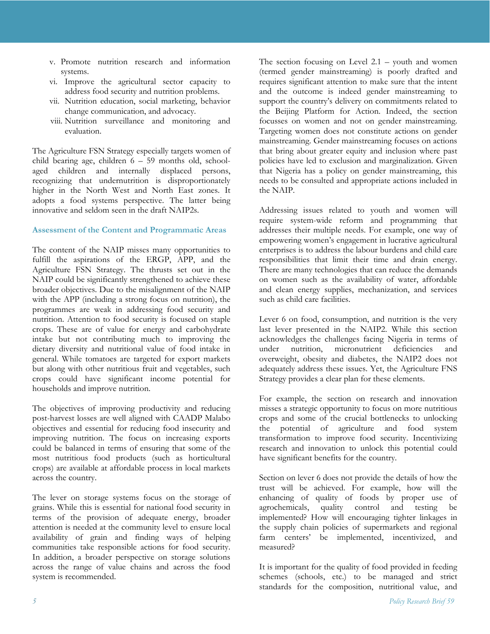- v. Promote nutrition research and information systems.
- vi. Improve the agricultural sector capacity to address food security and nutrition problems.
- vii. Nutrition education, social marketing, behavior change communication, and advocacy.
- viii. Nutrition surveillance and monitoring and evaluation.

The Agriculture FSN Strategy especially targets women of child bearing age, children 6 – 59 months old, schoolaged children and internally displaced persons, recognizing that undernutrition is disproportionately higher in the North West and North East zones. It adopts a food systems perspective. The latter being innovative and seldom seen in the draft NAIP2s.

## **Assessment of the Content and Programmatic Areas**

The content of the NAIP misses many opportunities to fulfill the aspirations of the ERGP, APP, and the Agriculture FSN Strategy. The thrusts set out in the NAIP could be significantly strengthened to achieve these broader objectives. Due to the misalignment of the NAIP with the APP (including a strong focus on nutrition), the programmes are weak in addressing food security and nutrition. Attention to food security is focused on staple crops. These are of value for energy and carbohydrate intake but not contributing much to improving the dietary diversity and nutritional value of food intake in general. While tomatoes are targeted for export markets but along with other nutritious fruit and vegetables, such crops could have significant income potential for households and improve nutrition.

The objectives of improving productivity and reducing post-harvest losses are well aligned with CAADP Malabo objectives and essential for reducing food insecurity and improving nutrition. The focus on increasing exports could be balanced in terms of ensuring that some of the most nutritious food products (such as horticultural crops) are available at affordable process in local markets across the country.

The lever on storage systems focus on the storage of grains. While this is essential for national food security in terms of the provision of adequate energy, broader attention is needed at the community level to ensure local availability of grain and finding ways of helping communities take responsible actions for food security. In addition, a broader perspective on storage solutions across the range of value chains and across the food system is recommended.

The section focusing on Level 2.1 – youth and women (termed gender mainstreaming) is poorly drafted and requires significant attention to make sure that the intent and the outcome is indeed gender mainstreaming to support the country's delivery on commitments related to the Beijing Platform for Action. Indeed, the section focusses on women and not on gender mainstreaming. Targeting women does not constitute actions on gender mainstreaming. Gender mainstreaming focuses on actions that bring about greater equity and inclusion where past policies have led to exclusion and marginalization. Given that Nigeria has a policy on gender mainstreaming, this needs to be consulted and appropriate actions included in the NAIP.

Addressing issues related to youth and women will require system-wide reform and programming that addresses their multiple needs. For example, one way of empowering women's engagement in lucrative agricultural enterprises is to address the labour burdens and child care responsibilities that limit their time and drain energy. There are many technologies that can reduce the demands on women such as the availability of water, affordable and clean energy supplies, mechanization, and services such as child care facilities.

Lever 6 on food, consumption, and nutrition is the very last lever presented in the NAIP2. While this section acknowledges the challenges facing Nigeria in terms of under nutrition, micronutrient deficiencies and overweight, obesity and diabetes, the NAIP2 does not adequately address these issues. Yet, the Agriculture FNS Strategy provides a clear plan for these elements.

For example, the section on research and innovation misses a strategic opportunity to focus on more nutritious crops and some of the crucial bottlenecks to unlocking the potential of agriculture and food system transformation to improve food security. Incentivizing research and innovation to unlock this potential could have significant benefits for the country.

Section on lever 6 does not provide the details of how the trust will be achieved. For example, how will the enhancing of quality of foods by proper use of agrochemicals, quality control and testing be implemented? How will encouraging tighter linkages in the supply chain policies of supermarkets and regional farm centers' be implemented, incentivized, and measured?

It is important for the quality of food provided in feeding schemes (schools, etc.) to be managed and strict standards for the composition, nutritional value, and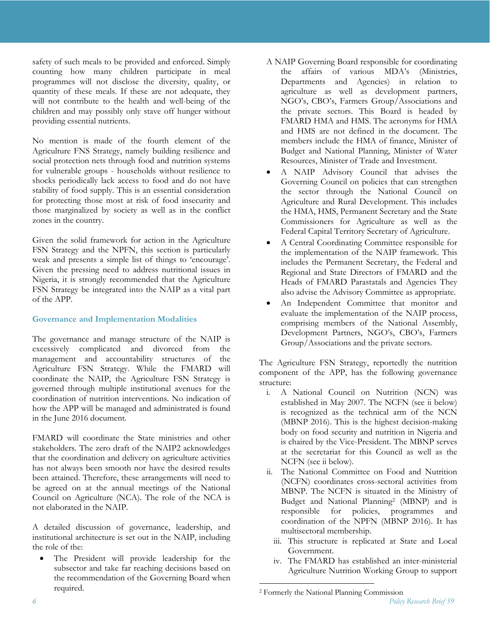safety of such meals to be provided and enforced. Simply counting how many children participate in meal programmes will not disclose the diversity, quality, or quantity of these meals. If these are not adequate, they will not contribute to the health and well-being of the children and may possibly only stave off hunger without providing essential nutrients.

No mention is made of the fourth element of the Agriculture FNS Strategy, namely building resilience and social protection nets through food and nutrition systems for vulnerable groups - households without resilience to shocks periodically lack access to food and do not have stability of food supply. This is an essential consideration for protecting those most at risk of food insecurity and those marginalized by society as well as in the conflict zones in the country.

Given the solid framework for action in the Agriculture FSN Strategy and the NPFN, this section is particularly weak and presents a simple list of things to 'encourage'. Given the pressing need to address nutritional issues in Nigeria, it is strongly recommended that the Agriculture FSN Strategy be integrated into the NAIP as a vital part of the APP.

## **Governance and Implementation Modalities**

The governance and manage structure of the NAIP is excessively complicated and divorced from the management and accountability structures of the Agriculture FSN Strategy. While the FMARD will coordinate the NAIP, the Agriculture FSN Strategy is governed through multiple institutional avenues for the coordination of nutrition interventions. No indication of how the APP will be managed and administrated is found in the June 2016 document.

FMARD will coordinate the State ministries and other stakeholders. The zero draft of the NAIP2 acknowledges that the coordination and delivery on agriculture activities has not always been smooth nor have the desired results been attained. Therefore, these arrangements will need to be agreed on at the annual meetings of the National Council on Agriculture (NCA). The role of the NCA is not elaborated in the NAIP.

A detailed discussion of governance, leadership, and institutional architecture is set out in the NAIP, including the role of the:

 The President will provide leadership for the subsector and take far reaching decisions based on the recommendation of the Governing Board when required.

- A NAIP Governing Board responsible for coordinating the affairs of various MDA's (Ministries, Departments and Agencies) in relation to agriculture as well as development partners, NGO's, CBO's, Farmers Group/Associations and the private sectors. This Board is headed by FMARD HMA and HMS. The acronyms for HMA and HMS are not defined in the document. The members include the HMA of finance, Minister of Budget and National Planning, Minister of Water Resources, Minister of Trade and Investment.
- A NAIP Advisory Council that advises the Governing Council on policies that can strengthen the sector through the National Council on Agriculture and Rural Development. This includes the HMA, HMS, Permanent Secretary and the State Commissioners for Agriculture as well as the Federal Capital Territory Secretary of Agriculture.
- A Central Coordinating Committee responsible for the implementation of the NAIP framework. This includes the Permanent Secretary, the Federal and Regional and State Directors of FMARD and the Heads of FMARD Parastatals and Agencies They also advise the Advisory Committee as appropriate.
- An Independent Committee that monitor and evaluate the implementation of the NAIP process, comprising members of the National Assembly, Development Partners, NGO's, CBO's, Farmers Group/Associations and the private sectors.

The Agriculture FSN Strategy, reportedly the nutrition component of the APP, has the following governance structure:

- i. A National Council on Nutrition (NCN) was established in May 2007. The NCFN (see ii below) is recognized as the technical arm of the NCN (MBNP 2016). This is the highest decision-making body on food security and nutrition in Nigeria and is chaired by the Vice-President. The MBNP serves at the secretariat for this Council as well as the NCFN (see ii below).
- ii. The National Committee on Food and Nutrition (NCFN) coordinates cross-sectoral activities from MBNP. The NCFN is situated in the Ministry of Budget and National Planning2 (MBNP) and is responsible for policies, programmes and coordination of the NPFN (MBNP 2016). It has multisectoral membership.
	- iii. This structure is replicated at State and Local Government.
	- iv. The FMARD has established an inter-ministerial Agriculture Nutrition Working Group to support

-

*<sup>6</sup> Policy Research Brief 59* 2 Formerly the National Planning Commission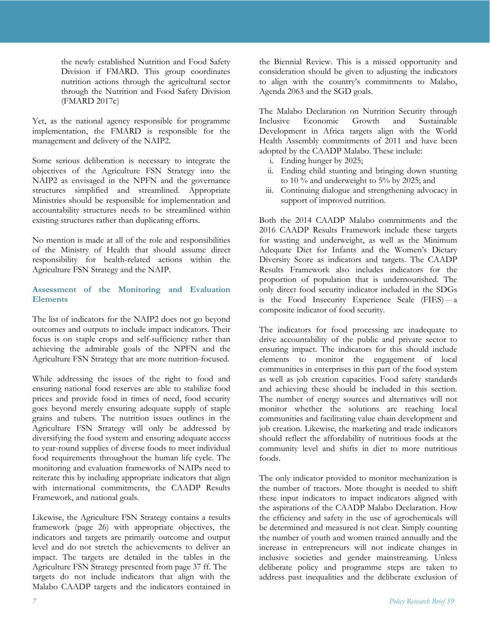the newly established Nutrition and Food Safety Division if FMARD. This group coordinates nutrition actions through the agricultural sector through the Nutrition and Food Safety Division (FMARD 2017c)

Yet, as the national agency responsible for programme implementation, the FMARD is responsible for the management and delivery of the NAIP2.

Some serious deliberation is necessary to integrate the objectives of the Agriculture FSN Strategy into the NAIP2 as envisaged in the NPFN and the governance structures simplified and streamlined. Appropriate Ministries should be responsible for implementation and accountability structures needs to be streamlined within existing structures rather than duplicating efforts.

No mention is made at all of the role and responsibilities of the Ministry of Health that should assume direct responsibility for health-related actions within the Agriculture FSN Strategy and the NAIP.

## **Assessment of the Monitoring and Evaluation Elements**

The list of indicators for the NAIP2 does not go beyond outcomes and outputs to include impact indicators. Their focus is on staple crops and self-sufficiency rather than achieving the admirable goals of the NPFN and the Agriculture FSN Strategy that are more nutrition-focused.

While addressing the issues of the right to food and ensuring national food reserves are able to stabilize food prices and provide food in times of need, food security goes beyond merely ensuring adequate supply of staple grains and tubers. The nutrition issues outlines in the Agriculture FSN Strategy will only be addressed by diversifying the food system and ensuring adequate access to year-round supplies of diverse foods to meet individual food requirements throughout the human life cycle. The monitoring and evaluation frameworks of NAIPs need to reiterate this by including appropriate indicators that align with international commitments, the CAADP Results Framework, and national goals.

Likewise, the Agriculture FSN Strategy contains a results framework (page 26) with appropriate objectives, the indicators and targets are primarily outcome and output level and do not stretch the achievements to deliver an impact. The targets are detailed in the tables in the Agriculture FSN Strategy presented from page 37 ff. The targets do not include indicators that align with the Malabo CAADP targets and the indicators contained in

the Biennial Review. This is a missed opportunity and consideration should be given to adjusting the indicators to align with the country's commitments to Malabo, Agenda 2063 and the SGD goals.

The Malabo Declaration on Nutrition Security through Inclusive Economic Growth and Sustainable Development in Africa targets align with the World Health Assembly commitments of 2011 and have been adopted by the CAADP Malabo. These include:

- i. Ending hunger by 2025;
- ii. Ending child stunting and bringing down stunting to 10 % and underweight to 5% by 2025; and
- iii. Continuing dialogue and strengthening advocacy in support of improved nutrition.

Both the 2014 CAADP Malabo commitments and the 2016 CAADP Results Framework include these targets for wasting and underweight, as well as the Minimum Adequate Diet for Infants and the Women's Dietary Diversity Score as indicators and targets. The CAADP Results Framework also includes indicators for the proportion of population that is undernourished. The only direct food security indicator included in the SDGs is the Food Insecurity Experience Scale (FIES)—a composite indicator of food security.

The indicators for food processing are inadequate to drive accountability of the public and private sector to ensuring impact. The indicators for this should include elements to monitor the engagement of local communities in enterprises in this part of the food system as well as job creation capacities. Food safety standards and achieving these should be included in this section. The number of energy sources and alternatives will not monitor whether the solutions are reaching local communities and facilitating value chain development and job creation. Likewise, the marketing and trade indicators should reflect the affordability of nutritious foods at the community level and shifts in diet to more nutritious foods.

The only indicator provided to monitor mechanization is the number of tractors. More thought is needed to shift these input indicators to impact indicators aligned with the aspirations of the CAADP Malabo Declaration. How the efficiency and safety in the use of agrochemicals will be determined and measured is not clear. Simply counting the number of youth and women trained annually and the increase in entrepreneurs will not indicate changes in inclusive societies and gender mainstreaming. Unless deliberate policy and programme steps are taken to address past inequalities and the deliberate exclusion of